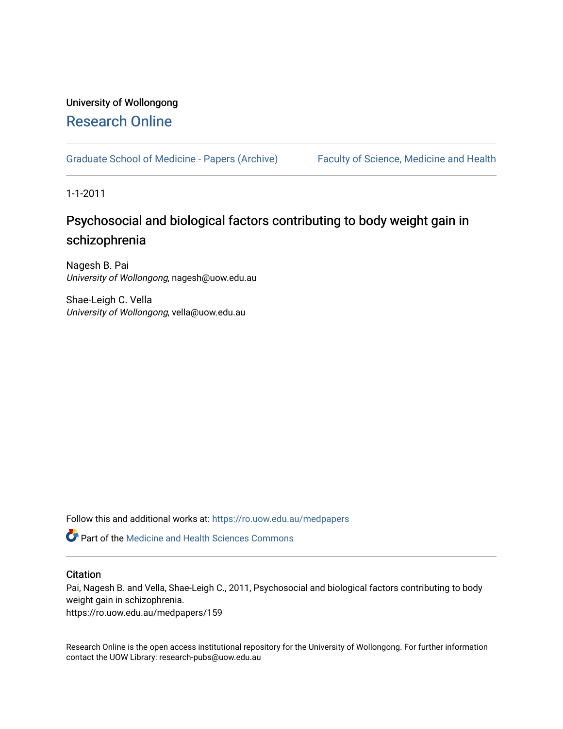## University of Wollongong [Research Online](https://ro.uow.edu.au/)

[Graduate School of Medicine - Papers \(Archive\)](https://ro.uow.edu.au/medpapers) [Faculty of Science, Medicine and Health](https://ro.uow.edu.au/smh) 

1-1-2011

# Psychosocial and biological factors contributing to body weight gain in schizophrenia

Nagesh B. Pai University of Wollongong, nagesh@uow.edu.au

Shae-Leigh C. Vella University of Wollongong, vella@uow.edu.au

Follow this and additional works at: [https://ro.uow.edu.au/medpapers](https://ro.uow.edu.au/medpapers?utm_source=ro.uow.edu.au%2Fmedpapers%2F159&utm_medium=PDF&utm_campaign=PDFCoverPages) 

**C** Part of the Medicine and Health Sciences Commons

### **Citation**

Pai, Nagesh B. and Vella, Shae-Leigh C., 2011, Psychosocial and biological factors contributing to body weight gain in schizophrenia.

https://ro.uow.edu.au/medpapers/159

Research Online is the open access institutional repository for the University of Wollongong. For further information contact the UOW Library: research-pubs@uow.edu.au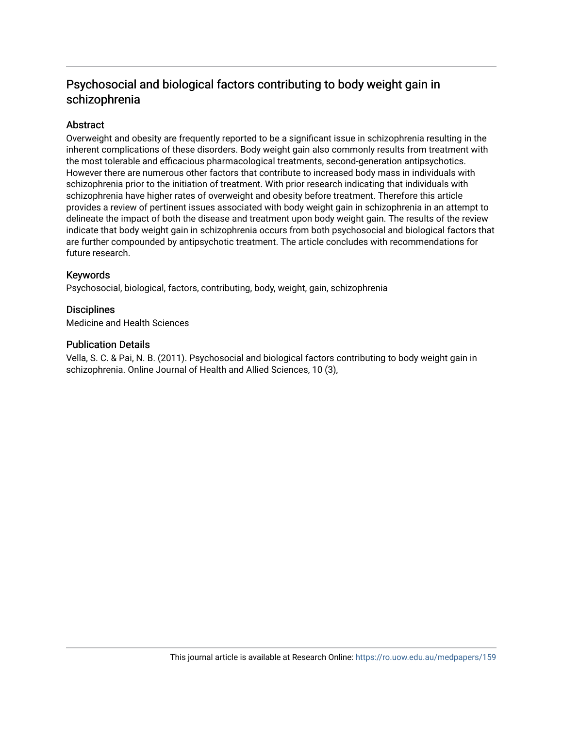## Psychosocial and biological factors contributing to body weight gain in schizophrenia

## Abstract

Overweight and obesity are frequently reported to be a significant issue in schizophrenia resulting in the inherent complications of these disorders. Body weight gain also commonly results from treatment with the most tolerable and efficacious pharmacological treatments, second-generation antipsychotics. However there are numerous other factors that contribute to increased body mass in individuals with schizophrenia prior to the initiation of treatment. With prior research indicating that individuals with schizophrenia have higher rates of overweight and obesity before treatment. Therefore this article provides a review of pertinent issues associated with body weight gain in schizophrenia in an attempt to delineate the impact of both the disease and treatment upon body weight gain. The results of the review indicate that body weight gain in schizophrenia occurs from both psychosocial and biological factors that are further compounded by antipsychotic treatment. The article concludes with recommendations for future research.

## Keywords

Psychosocial, biological, factors, contributing, body, weight, gain, schizophrenia

## **Disciplines**

Medicine and Health Sciences

## Publication Details

Vella, S. C. & Pai, N. B. (2011). Psychosocial and biological factors contributing to body weight gain in schizophrenia. Online Journal of Health and Allied Sciences, 10 (3),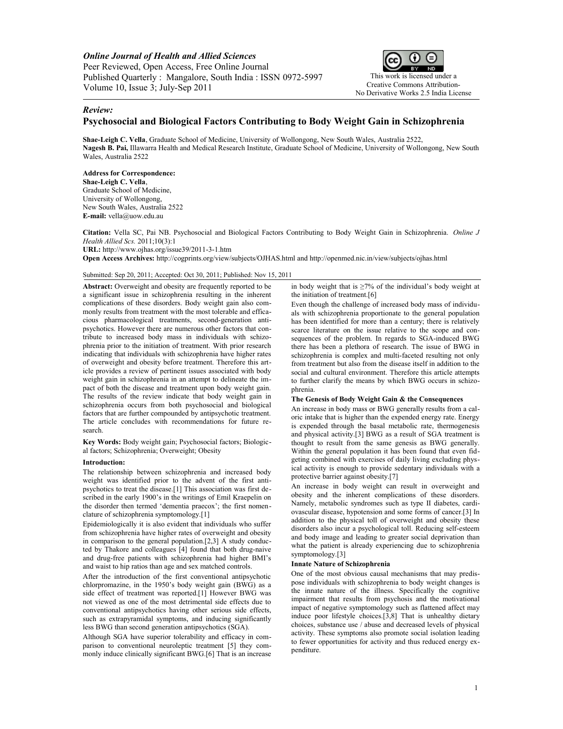*Online Journal of Health and Allied Sciences* Peer Reviewed, Open Access, Free Online Journal Published Quarterly : Mangalore, South India : ISSN 0972-5997 Volume 10, Issue 3; July-Sep 2011



#### *Review:*

### **Psychosocial and Biological Factors Contributing to Body Weight Gain in Schizophrenia**

**Shae-Leigh C. Vella**, Graduate School of Medicine, University of Wollongong, New South Wales, Australia 2522, **Nagesh B. Pai,** Illawarra Health and Medical Research Institute, Graduate School of Medicine, University of Wollongong, New South Wales, Australia 2522

**Address for Correspondence: Shae-Leigh C. Vella**, Graduate School of Medicine, University of Wollongong, New South Wales, Australia 2522 **E-mail:** [vella@uow.edu.au](mailto:vella@uow.edu.au)

**Citation:** Vella SC, Pai NB. Psychosocial and Biological Factors Contributing to Body Weight Gain in Schizophrenia. *Online J Health Allied Scs.* 2011;10(3):1 **URL:** http://www.ojhas.org/issue39/2011-3-1.htm

**Open Access Archives:** http://cogprints.org/view/subjects/OJHAS.html and http://openmed.nic.in/view/subjects/ojhas.html

Submitted: Sep 20, 2011; Accepted: Oct 30, 2011; Published: Nov 15, 2011

**Abstract:** Overweight and obesity are frequently reported to be a significant issue in schizophrenia resulting in the inherent complications of these disorders. Body weight gain also commonly results from treatment with the most tolerable and efficacious pharmacological treatments, second-generation antipsychotics. However there are numerous other factors that contribute to increased body mass in individuals with schizophrenia prior to the initiation of treatment. With prior research indicating that individuals with schizophrenia have higher rates of overweight and obesity before treatment. Therefore this article provides a review of pertinent issues associated with body weight gain in schizophrenia in an attempt to delineate the impact of both the disease and treatment upon body weight gain. The results of the review indicate that body weight gain in schizophrenia occurs from both psychosocial and biological factors that are further compounded by antipsychotic treatment. The article concludes with recommendations for future research.

**Key Words:** Body weight gain; Psychosocial factors; Biological factors; Schizophrenia; Overweight; Obesity

#### **Introduction:**

The relationship between schizophrenia and increased body weight was identified prior to the advent of the first antipsychotics to treat the disease.[1] This association was first described in the early 1900's in the writings of Emil Kraepelin on the disorder then termed 'dementia praecox'; the first nomenclature of schizophrenia symptomology.[1]

Epidemiologically it is also evident that individuals who suffer from schizophrenia have higher rates of overweight and obesity in comparison to the general population.[2,3] A study conducted by Thakore and colleagues [4] found that both drug-naive and drug-free patients with schizophrenia had higher BMI's and waist to hip ratios than age and sex matched controls.

After the introduction of the first conventional antipsychotic chlorpromazine, in the 1950's body weight gain (BWG) as a side effect of treatment was reported.[1] However BWG was not viewed as one of the most detrimental side effects due to conventional antipsychotics having other serious side effects, such as extrapyramidal symptoms, and inducing significantly less BWG than second generation antipsychotics (SGA).

Although SGA have superior tolerability and efficacy in comparison to conventional neuroleptic treatment [5] they commonly induce clinically significant BWG.[6] That is an increase

in body weight that is  $\geq$ 7% of the individual's body weight at the initiation of treatment.[6]

Even though the challenge of increased body mass of individuals with schizophrenia proportionate to the general population has been identified for more than a century; there is relatively scarce literature on the issue relative to the scope and consequences of the problem. In regards to SGA-induced BWG there has been a plethora of research. The issue of BWG in schizophrenia is complex and multi-faceted resulting not only from treatment but also from the disease itself in addition to the social and cultural environment. Therefore this article attempts to further clarify the means by which BWG occurs in schizophrenia.

#### **The Genesis of Body Weight Gain & the Consequences**

An increase in body mass or BWG generally results from a caloric intake that is higher than the expended energy rate. Energy is expended through the basal metabolic rate, thermogenesis and physical activity.[3] BWG as a result of SGA treatment is thought to result from the same genesis as BWG generally. Within the general population it has been found that even fidgeting combined with exercises of daily living excluding physical activity is enough to provide sedentary individuals with a protective barrier against obesity.[7]

An increase in body weight can result in overweight and obesity and the inherent complications of these disorders. Namely, metabolic syndromes such as type II diabetes, cardiovascular disease, hypotension and some forms of cancer.[3] In addition to the physical toll of overweight and obesity these disorders also incur a psychological toll. Reducing self-esteem and body image and leading to greater social deprivation than what the patient is already experiencing due to schizophrenia symptomology.[3]

#### **Innate Nature of Schizophrenia**

One of the most obvious causal mechanisms that may predispose individuals with schizophrenia to body weight changes is the innate nature of the illness. Specifically the cognitive impairment that results from psychosis and the motivational impact of negative symptomology such as flattened affect may induce poor lifestyle choices.[3,8] That is unhealthy dietary choices, substance use / abuse and decreased levels of physical activity. These symptoms also promote social isolation leading to fewer opportunities for activity and thus reduced energy expenditure.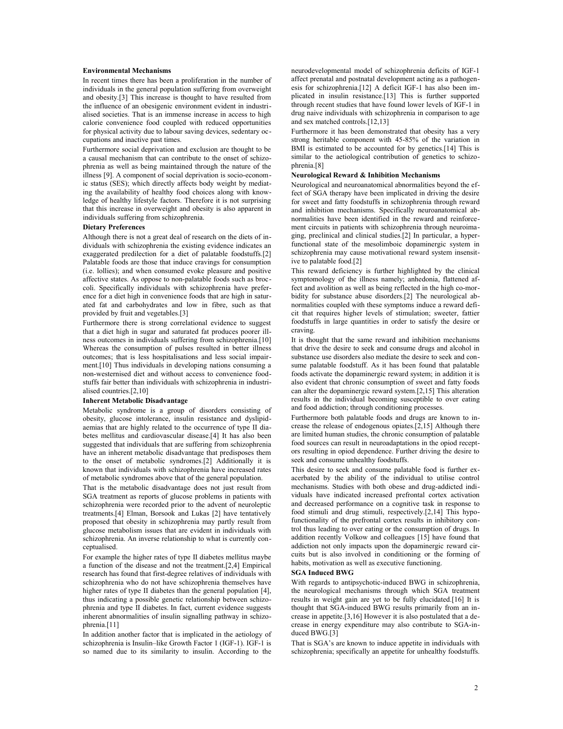#### **Environmental Mechanisms**

In recent times there has been a proliferation in the number of individuals in the general population suffering from overweight and obesity.[3] This increase is thought to have resulted from the influence of an obesigenic environment evident in industrialised societies. That is an immense increase in access to high calorie convenience food coupled with reduced opportunities for physical activity due to labour saving devices, sedentary occupations and inactive past times.

Furthermore social deprivation and exclusion are thought to be a causal mechanism that can contribute to the onset of schizophrenia as well as being maintained through the nature of the illness [9]. A component of social deprivation is socio-economic status (SES); which directly affects body weight by mediating the availability of healthy food choices along with knowledge of healthy lifestyle factors. Therefore it is not surprising that this increase in overweight and obesity is also apparent in individuals suffering from schizophrenia.

#### **Dietary Preferences**

Although there is not a great deal of research on the diets of individuals with schizophrenia the existing evidence indicates an exaggerated predilection for a diet of palatable foodstuffs.[2] Palatable foods are those that induce cravings for consumption (i.e. lollies); and when consumed evoke pleasure and positive affective states. As oppose to non-palatable foods such as broccoli. Specifically individuals with schizophrenia have preference for a diet high in convenience foods that are high in saturated fat and carbohydrates and low in fibre, such as that provided by fruit and vegetables.[3]

Furthermore there is strong correlational evidence to suggest that a diet high in sugar and saturated fat produces poorer illness outcomes in individuals suffering from schizophrenia.[10] Whereas the consumption of pulses resulted in better illness outcomes; that is less hospitalisations and less social impairment.[10] Thus individuals in developing nations consuming a non-westernised diet and without access to convenience foodstuffs fair better than individuals with schizophrenia in industrialised countries.[2,10]

#### **Inherent Metabolic Disadvantage**

Metabolic syndrome is a group of disorders consisting of obesity, glucose intolerance, insulin resistance and dyslipidaemias that are highly related to the occurrence of type II diabetes mellitus and cardiovascular disease.[4] It has also been suggested that individuals that are suffering from schizophrenia have an inherent metabolic disadvantage that predisposes them to the onset of metabolic syndromes.[2] Additionally it is known that individuals with schizophrenia have increased rates of metabolic syndromes above that of the general population.

That is the metabolic disadvantage does not just result from SGA treatment as reports of glucose problems in patients with schizophrenia were recorded prior to the advent of neuroleptic treatments.[4] Elman, Borsook and Lukas [2] have tentatively proposed that obesity in schizophrenia may partly result from glucose metabolism issues that are evident in individuals with schizophrenia. An inverse relationship to what is currently conceptualised.

For example the higher rates of type II diabetes mellitus maybe a function of the disease and not the treatment.[2,4] Empirical research has found that first-degree relatives of individuals with schizophrenia who do not have schizophrenia themselves have higher rates of type II diabetes than the general population [4], thus indicating a possible genetic relationship between schizophrenia and type II diabetes. In fact, current evidence suggests inherent abnormalities of insulin signalling pathway in schizophrenia.[11]

In addition another factor that is implicated in the aetiology of schizophrenia is Insulin–like Growth Factor 1 (IGF-1). IGF-1 is so named due to its similarity to insulin. According to the

neurodevelopmental model of schizophrenia deficits of IGF-1 affect prenatal and postnatal development acting as a pathogenesis for schizophrenia.[12] A deficit IGF-1 has also been implicated in insulin resistance.[13] This is further supported through recent studies that have found lower levels of IGF-1 in drug naive individuals with schizophrenia in comparison to age and sex matched controls.[12,13]

Furthermore it has been demonstrated that obesity has a very strong heritable component with 45-85% of the variation in BMI is estimated to be accounted for by genetics.<sup>[14]</sup> This is similar to the aetiological contribution of genetics to schizophrenia.[8]

#### **Neurological Reward & Inhibition Mechanisms**

Neurological and neuroanatomical abnormalities beyond the effect of SGA therapy have been implicated in driving the desire for sweet and fatty foodstuffs in schizophrenia through reward and inhibition mechanisms. Specifically neuroanatomical abnormalities have been identified in the reward and reinforcement circuits in patients with schizophrenia through neuroimaging, preclinical and clinical studies.[2] In particular, a hyperfunctional state of the mesolimboic dopaminergic system in schizophrenia may cause motivational reward system insensitive to palatable food.[2]

This reward deficiency is further highlighted by the clinical symptomology of the illness namely; anhedonia, flattened affect and avolition as well as being reflected in the high co-morbidity for substance abuse disorders.[2] The neurological abnormalities coupled with these symptoms induce a reward deficit that requires higher levels of stimulation; sweeter, fattier foodstuffs in large quantities in order to satisfy the desire or craving.

It is thought that the same reward and inhibition mechanisms that drive the desire to seek and consume drugs and alcohol in substance use disorders also mediate the desire to seek and consume palatable foodstuff. As it has been found that palatable foods activate the dopaminergic reward system; in addition it is also evident that chronic consumption of sweet and fatty foods can alter the dopaminergic reward system.[2,15] This alteration results in the individual becoming susceptible to over eating and food addiction; through conditioning processes.

Furthermore both palatable foods and drugs are known to increase the release of endogenous opiates.[2,15] Although there are limited human studies, the chronic consumption of palatable food sources can result in neuroadaptations in the opiod receptors resulting in opiod dependence. Further driving the desire to seek and consume unhealthy foodstuffs.

This desire to seek and consume palatable food is further exacerbated by the ability of the individual to utilise control mechanisms. Studies with both obese and drug-addicted individuals have indicated increased prefrontal cortex activation and decreased performance on a cognitive task in response to food stimuli and drug stimuli, respectively.[2,14] This hypofunctionality of the prefrontal cortex results in inhibitory control thus leading to over eating or the consumption of drugs. In addition recently Volkow and colleagues [15] have found that addiction not only impacts upon the dopaminergic reward circuits but is also involved in conditioning or the forming of habits, motivation as well as executive functioning.

#### **SGA Induced BWG**

With regards to antipsychotic-induced BWG in schizophrenia, the neurological mechanisms through which SGA treatment results in weight gain are yet to be fully elucidated.[16] It is thought that SGA-induced BWG results primarily from an increase in appetite.[3,16] However it is also postulated that a decrease in energy expenditure may also contribute to SGA-induced BWG.[3]

That is SGA's are known to induce appetite in individuals with schizophrenia; specifically an appetite for unhealthy foodstuffs.